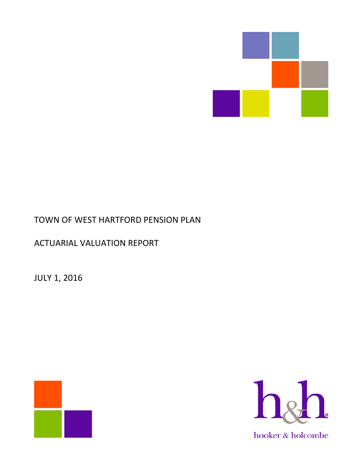

# TOWN OF WEST HARTFORD PENSION PLAN

# ACTUARIAL VALUATION REPORT

JULY 1, 2016



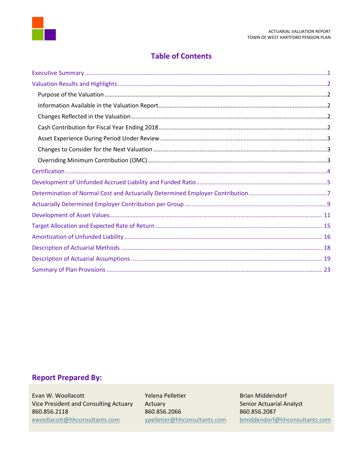

## **Table of Contents**

## **Report Prepared By:**

Evan W. Woollacott **Network Communist Communist Pelletier** Release Brian Middendorf Vice President and Consulting Actuary Actuary Actuary Senior Actuarial Analyst 860.856.2118 860.856.2066 860.856.2087<br>Expedicion and Society Appelletier@hhconsultants.com bmiddendorf [ewoollacott@hhconsultants.com](mailto:ewoollacott@hhconsultants.com) [ypelletier@hhconsultants.com](mailto:ypelletier@hhconsultants.com) [bmiddendorf@hhconsultants.com](mailto:bmiddendorf@hhconsultants.com)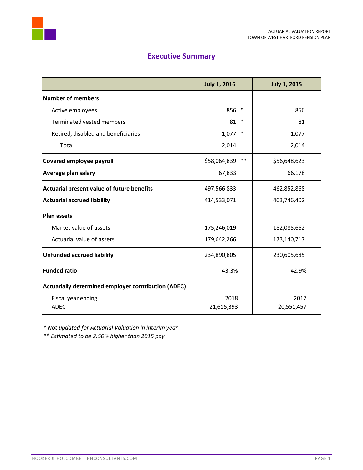



<span id="page-2-0"></span>

|                                                     | <b>July 1, 2016</b>   | <b>July 1, 2015</b> |
|-----------------------------------------------------|-----------------------|---------------------|
| <b>Number of members</b>                            |                       |                     |
| Active employees                                    | 856<br>∗              | 856                 |
| Terminated vested members                           | $\ast$<br>81          | 81                  |
| Retired, disabled and beneficiaries                 | ∗<br>1,077            | 1,077               |
| Total                                               | 2,014                 | 2,014               |
| Covered employee payroll                            | $***$<br>\$58,064,839 | \$56,648,623        |
| Average plan salary                                 | 67,833                | 66,178              |
| Actuarial present value of future benefits          | 497,566,833           | 462,852,868         |
| <b>Actuarial accrued liability</b>                  | 414,533,071           | 403,746,402         |
| <b>Plan assets</b>                                  |                       |                     |
| Market value of assets                              | 175,246,019           | 182,085,662         |
| Actuarial value of assets                           | 179,642,266           | 173,140,717         |
| <b>Unfunded accrued liability</b>                   | 234,890,805           | 230,605,685         |
| <b>Funded ratio</b>                                 | 43.3%                 | 42.9%               |
| Actuarially determined employer contribution (ADEC) |                       |                     |
| Fiscal year ending                                  | 2018                  | 2017                |
| <b>ADEC</b>                                         | 21,615,393            | 20,551,457          |

*\* Not updated for Actuarial Valuation in interim year*

*\*\* Estimated to be 2.50% higher than 2015 pay*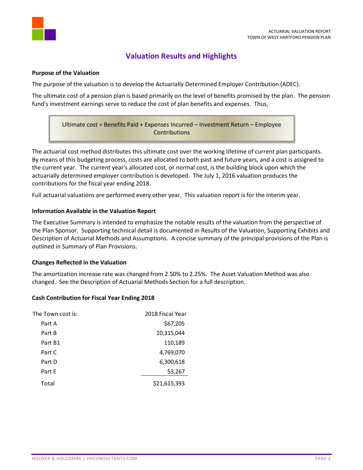

# **Valuation Results and Highlights**

### <span id="page-3-1"></span><span id="page-3-0"></span>**Purpose of the Valuation**

The purpose of the valuation is to develop the Actuarially Determined Employer Contribution (ADEC).

The ultimate cost of a pension plan is based primarily on the level of benefits promised by the plan. The pension fund's investment earnings serve to reduce the cost of plan benefits and expenses. Thus,

Ultimate cost = Benefits Paid + Expenses Incurred – Investment Return – Employee **Contributions** 

The actuarial cost method distributes this ultimate cost over the working lifetime of current plan participants. By means of this budgeting process, costs are allocated to both past and future years, and a cost is assigned to the current year. The current year's allocated cost, or normal cost, is the building block upon which the actuarially determined employer contribution is developed. The July 1, 2016 valuation produces the contributions for the fiscal year ending 2018.

Full actuarial valuations are performed every other year. This valuation report is for the interim year.

### <span id="page-3-2"></span>**Information Available in the Valuation Report**

The Executive Summary is intended to emphasize the notable results of the valuation from the perspective of the Plan Sponsor. Supporting technical detail is documented in Results of the Valuation, Supporting Exhibits and Description of Actuarial Methods and Assumptions. A concise summary of the principal provisions of the Plan is outlined in Summary of Plan Provisions.

#### <span id="page-3-3"></span>**Changes Reflected in the Valuation**

The amortization increase rate was changed from 2.50% to 2.25%. The Asset Valuation Method was also changed. See the Description of Actuarial Methods Section for a full description.

## <span id="page-3-4"></span>**Cash Contribution for Fiscal Year Ending 2018**

| The Town cost is: | 2018 Fiscal Year |
|-------------------|------------------|
| Part A            | \$67,205         |
| Part B            | 10,315,044       |
| Part B1           | 110,189          |
| Part C            | 4,769,070        |
| Part D            | 6,300,618        |
| Part E            | 53,267           |
| Total             | \$21,615,393     |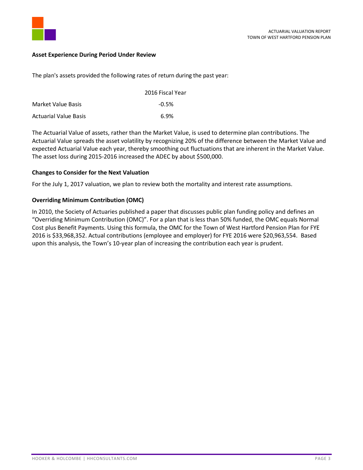

### <span id="page-4-0"></span>**Asset Experience During Period Under Review**

The plan's assets provided the following rates of return during the past year:

|                              | 2016 Fiscal Year |
|------------------------------|------------------|
| Market Value Basis           | $-0.5\%$         |
| <b>Actuarial Value Basis</b> | 6.9%             |

The Actuarial Value of assets, rather than the Market Value, is used to determine plan contributions. The Actuarial Value spreads the asset volatility by recognizing 20% of the difference between the Market Value and expected Actuarial Value each year, thereby smoothing out fluctuations that are inherent in the Market Value. The asset loss during 2015-2016 increased the ADEC by about \$500,000.

### <span id="page-4-1"></span>**Changes to Consider for the Next Valuation**

For the July 1, 2017 valuation, we plan to review both the mortality and interest rate assumptions.

### <span id="page-4-2"></span>**Overriding Minimum Contribution (OMC)**

In 2010, the Society of Actuaries published a paper that discusses public plan funding policy and defines an "Overriding Minimum Contribution (OMC)". For a plan that is less than 50% funded, the OMC equals Normal Cost plus Benefit Payments. Using this formula, the OMC for the Town of West Hartford Pension Plan for FYE 2016 is \$33,968,352. Actual contributions (employee and employer) for FYE 2016 were \$20,963,554. Based upon this analysis, the Town's 10-year plan of increasing the contribution each year is prudent.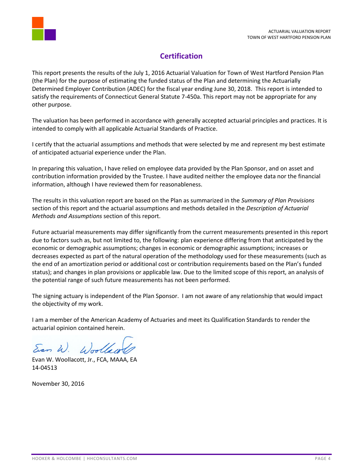

# **Certification**

<span id="page-5-0"></span>This report presents the results of the July 1, 2016 Actuarial Valuation for Town of West Hartford Pension Plan (the Plan) for the purpose of estimating the funded status of the Plan and determining the Actuarially Determined Employer Contribution (ADEC) for the fiscal year ending June 30, 2018. This report is intended to satisfy the requirements of Connecticut General Statute 7-450a. This report may not be appropriate for any other purpose.

The valuation has been performed in accordance with generally accepted actuarial principles and practices. It is intended to comply with all applicable Actuarial Standards of Practice.

I certify that the actuarial assumptions and methods that were selected by me and represent my best estimate of anticipated actuarial experience under the Plan.

In preparing this valuation, I have relied on employee data provided by the Plan Sponsor, and on asset and contribution information provided by the Trustee. I have audited neither the employee data nor the financial information, although I have reviewed them for reasonableness.

The results in this valuation report are based on the Plan as summarized in the *Summary of Plan Provisions* section of this report and the actuarial assumptions and methods detailed in the *Description of Actuarial Methods and Assumptions* section of this report.

Future actuarial measurements may differ significantly from the current measurements presented in this report due to factors such as, but not limited to, the following: plan experience differing from that anticipated by the economic or demographic assumptions; changes in economic or demographic assumptions; increases or decreases expected as part of the natural operation of the methodology used for these measurements (such as the end of an amortization period or additional cost or contribution requirements based on the Plan's funded status); and changes in plan provisions or applicable law. Due to the limited scope of this report, an analysis of the potential range of such future measurements has not been performed.

The signing actuary is independent of the Plan Sponsor. I am not aware of any relationship that would impact the objectivity of my work.

I am a member of the American Academy of Actuaries and meet its Qualification Standards to render the actuarial opinion contained herein.

Evan W.

Evan W. Woollacott, Jr., FCA, MAAA, EA 14-04513

November 30, 2016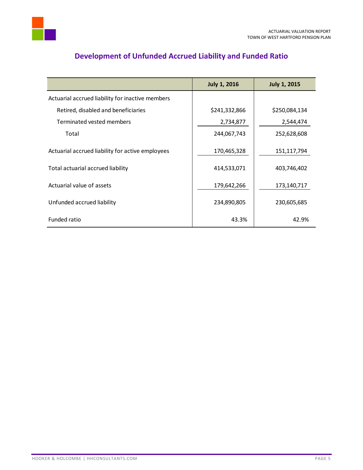

<span id="page-6-0"></span>

|                                                  | <b>July 1, 2016</b> | <b>July 1, 2015</b> |
|--------------------------------------------------|---------------------|---------------------|
| Actuarial accrued liability for inactive members |                     |                     |
| Retired, disabled and beneficiaries              | \$241,332,866       | \$250,084,134       |
| Terminated vested members                        | 2,734,877           | 2,544,474           |
| Total                                            | 244,067,743         | 252,628,608         |
| Actuarial accrued liability for active employees | 170,465,328         | 151,117,794         |
| Total actuarial accrued liability                | 414,533,071         | 403,746,402         |
| Actuarial value of assets                        | 179,642,266         | 173,140,717         |
| Unfunded accrued liability                       | 234,890,805         | 230,605,685         |
| Funded ratio                                     | 43.3%               | 42.9%               |

# **Development of Unfunded Accrued Liability and Funded Ratio**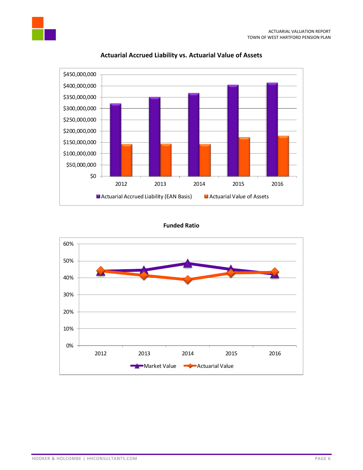

## **Actuarial Accrued Liability vs. Actuarial Value of Assets**

## **Funded Ratio**

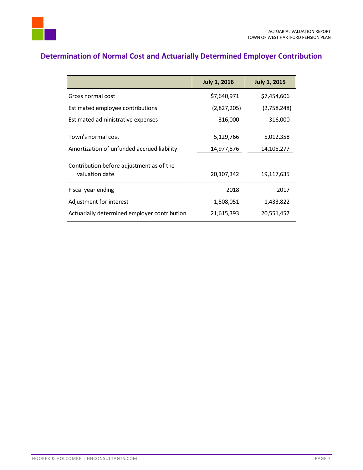



# <span id="page-8-0"></span>**Determination of Normal Cost and Actuarially Determined Employer Contribution**

|                                                                  | <b>July 1, 2016</b> | <b>July 1, 2015</b>     |
|------------------------------------------------------------------|---------------------|-------------------------|
| Gross normal cost                                                | \$7,640,971         | \$7,454,606             |
| Estimated employee contributions                                 | (2,827,205)         | (2,758,248)             |
| Estimated administrative expenses                                | 316,000             | 316,000                 |
| Town's normal cost<br>Amortization of unfunded accrued liability | 5,129,766           | 5,012,358<br>14,105,277 |
|                                                                  | 14,977,576          |                         |
| Contribution before adjustment as of the<br>valuation date       | 20,107,342          | 19,117,635              |
| Fiscal year ending                                               | 2018                | 2017                    |
| Adjustment for interest                                          | 1,508,051           | 1,433,822               |
| Actuarially determined employer contribution                     | 21,615,393          | 20,551,457              |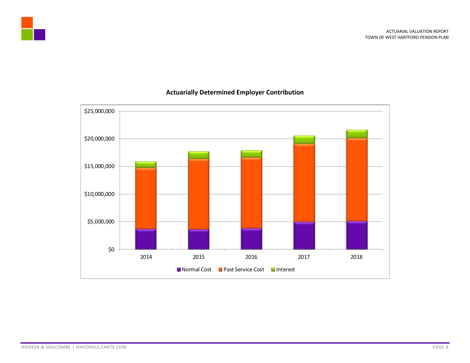



## **Actuarially Determined Employer Contribution**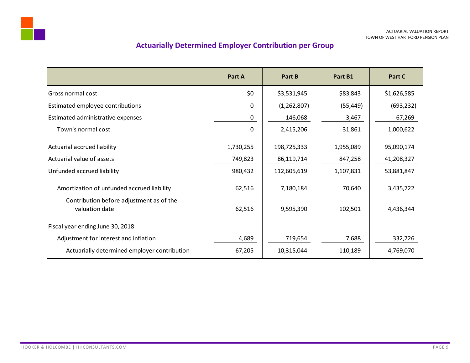# **Actuarially Determined Employer Contribution per Group**

<span id="page-10-0"></span>

|                                                            | Part A       | Part B      | Part B1   | Part C      |
|------------------------------------------------------------|--------------|-------------|-----------|-------------|
| Gross normal cost                                          | \$0          | \$3,531,945 | \$83,843  | \$1,626,585 |
| Estimated employee contributions                           | $\Omega$     | (1,262,807) | (55, 449) | (693, 232)  |
| Estimated administrative expenses                          | 0            | 146,068     | 3,467     | 67,269      |
| Town's normal cost                                         | $\mathbf{0}$ | 2,415,206   | 31,861    | 1,000,622   |
| Actuarial accrued liability                                | 1,730,255    | 198,725,333 | 1,955,089 | 95,090,174  |
| Actuarial value of assets                                  | 749,823      | 86,119,714  | 847,258   | 41,208,327  |
| Unfunded accrued liability                                 | 980,432      | 112,605,619 | 1,107,831 | 53,881,847  |
| Amortization of unfunded accrued liability                 | 62,516       | 7,180,184   | 70,640    | 3,435,722   |
| Contribution before adjustment as of the<br>valuation date | 62,516       | 9,595,390   | 102,501   | 4,436,344   |
| Fiscal year ending June 30, 2018                           |              |             |           |             |
| Adjustment for interest and inflation                      | 4,689        | 719,654     | 7,688     | 332,726     |
| Actuarially determined employer contribution               | 67,205       | 10,315,044  | 110,189   | 4,769,070   |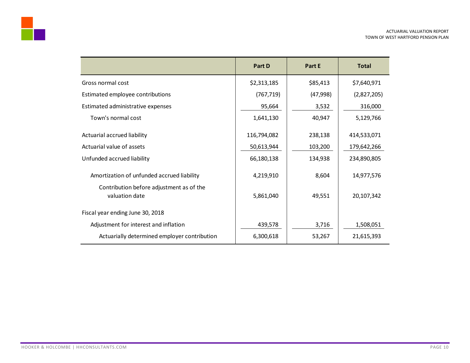|                                                            | Part D      | Part E   | <b>Total</b> |
|------------------------------------------------------------|-------------|----------|--------------|
| Gross normal cost                                          | \$2,313,185 | \$85,413 | \$7,640,971  |
| Estimated employee contributions                           | (767, 719)  | (47,998) | (2,827,205)  |
| Estimated administrative expenses                          | 95,664      | 3,532    | 316,000      |
| Town's normal cost                                         | 1,641,130   | 40,947   | 5,129,766    |
| Actuarial accrued liability                                | 116,794,082 | 238,138  | 414,533,071  |
| Actuarial value of assets                                  | 50,613,944  | 103,200  | 179,642,266  |
| Unfunded accrued liability                                 | 66,180,138  | 134,938  | 234,890,805  |
| Amortization of unfunded accrued liability                 | 4,219,910   | 8,604    | 14,977,576   |
| Contribution before adjustment as of the<br>valuation date | 5,861,040   | 49,551   | 20,107,342   |
| Fiscal year ending June 30, 2018                           |             |          |              |
| Adjustment for interest and inflation                      | 439,578     | 3,716    | 1,508,051    |
| Actuarially determined employer contribution               | 6,300,618   | 53,267   | 21,615,393   |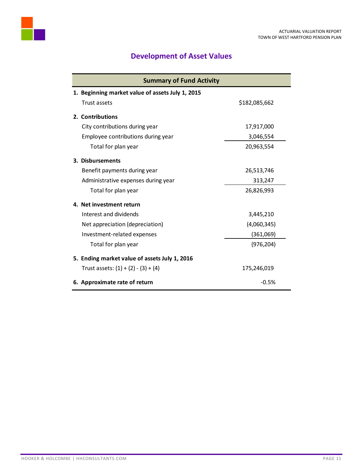

# **Development of Asset Values**

<span id="page-12-0"></span>

| <b>Summary of Fund Activity</b>                  |               |  |  |  |
|--------------------------------------------------|---------------|--|--|--|
| 1. Beginning market value of assets July 1, 2015 |               |  |  |  |
| Trust assets                                     | \$182,085,662 |  |  |  |
| 2. Contributions                                 |               |  |  |  |
| City contributions during year                   | 17,917,000    |  |  |  |
| Employee contributions during year               | 3,046,554     |  |  |  |
| Total for plan year                              | 20,963,554    |  |  |  |
| 3. Disbursements                                 |               |  |  |  |
| Benefit payments during year                     | 26,513,746    |  |  |  |
| Administrative expenses during year              | 313,247       |  |  |  |
| Total for plan year                              | 26,826,993    |  |  |  |
| 4. Net investment return                         |               |  |  |  |
| Interest and dividends                           | 3,445,210     |  |  |  |
| Net appreciation (depreciation)                  | (4,060,345)   |  |  |  |
| Investment-related expenses                      | (361,069)     |  |  |  |
| Total for plan year                              | (976, 204)    |  |  |  |
| 5. Ending market value of assets July 1, 2016    |               |  |  |  |
| Trust assets: $(1) + (2) - (3) + (4)$            | 175,246,019   |  |  |  |
| 6. Approximate rate of return                    | $-0.5%$       |  |  |  |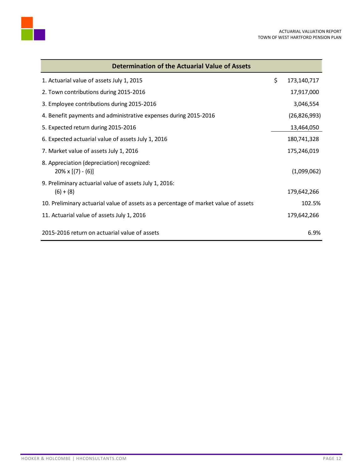

| Determination of the Actuarial Value of Assets                                      |                   |
|-------------------------------------------------------------------------------------|-------------------|
| 1. Actuarial value of assets July 1, 2015                                           | \$<br>173,140,717 |
| 2. Town contributions during 2015-2016                                              | 17,917,000        |
| 3. Employee contributions during 2015-2016                                          | 3,046,554         |
| 4. Benefit payments and administrative expenses during 2015-2016                    | (26,826,993)      |
| 5. Expected return during 2015-2016                                                 | 13,464,050        |
| 6. Expected actuarial value of assets July 1, 2016                                  | 180,741,328       |
| 7. Market value of assets July 1, 2016                                              | 175,246,019       |
| 8. Appreciation (depreciation) recognized:<br>$20\% \times [(7) - (6)]$             | (1,099,062)       |
| 9. Preliminary actuarial value of assets July 1, 2016:                              |                   |
| $(6) + (8)$                                                                         | 179,642,266       |
| 10. Preliminary actuarial value of assets as a percentage of market value of assets | 102.5%            |
| 11. Actuarial value of assets July 1, 2016                                          | 179,642,266       |
| 2015-2016 return on actuarial value of assets                                       | 6.9%              |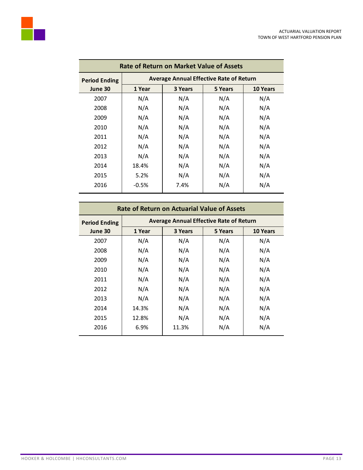

| <b>Rate of Return on Market Value of Assets</b> |                                                |         |         |                 |  |
|-------------------------------------------------|------------------------------------------------|---------|---------|-----------------|--|
| <b>Period Ending</b>                            | <b>Average Annual Effective Rate of Return</b> |         |         |                 |  |
| June 30                                         | 1 Year                                         | 3 Years | 5 Years | <b>10 Years</b> |  |
| 2007                                            | N/A                                            | N/A     | N/A     | N/A             |  |
| 2008                                            | N/A                                            | N/A     | N/A     | N/A             |  |
| 2009                                            | N/A                                            | N/A     | N/A     | N/A             |  |
| 2010                                            | N/A                                            | N/A     | N/A     | N/A             |  |
| 2011                                            | N/A                                            | N/A     | N/A     | N/A             |  |
| 2012                                            | N/A                                            | N/A     | N/A     | N/A             |  |
| 2013                                            | N/A                                            | N/A     | N/A     | N/A             |  |
| 2014                                            | 18.4%                                          | N/A     | N/A     | N/A             |  |
| 2015                                            | 5.2%                                           | N/A     | N/A     | N/A             |  |
| 2016                                            | $-0.5%$                                        | 7.4%    | N/A     | N/A             |  |
|                                                 |                                                |         |         |                 |  |

| <b>Rate of Return on Actuarial Value of Assets</b> |                                                |         |         |                 |
|----------------------------------------------------|------------------------------------------------|---------|---------|-----------------|
| <b>Period Ending</b>                               | <b>Average Annual Effective Rate of Return</b> |         |         |                 |
| June 30                                            | 1 Year                                         | 3 Years | 5 Years | <b>10 Years</b> |
| 2007                                               | N/A                                            | N/A     | N/A     | N/A             |
| 2008                                               | N/A                                            | N/A     | N/A     | N/A             |
| 2009                                               | N/A                                            | N/A     | N/A     | N/A             |
| 2010                                               | N/A                                            | N/A     | N/A     | N/A             |
| 2011                                               | N/A                                            | N/A     | N/A     | N/A             |
| 2012                                               | N/A                                            | N/A     | N/A     | N/A             |
| 2013                                               | N/A                                            | N/A     | N/A     | N/A             |
| 2014                                               | 14.3%                                          | N/A     | N/A     | N/A             |
| 2015                                               | 12.8%                                          | N/A     | N/A     | N/A             |
| 2016                                               | 6.9%                                           | 11.3%   | N/A     | N/A             |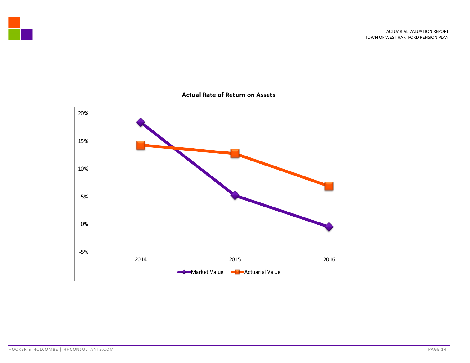

## **Actual Rate of Return on Assets**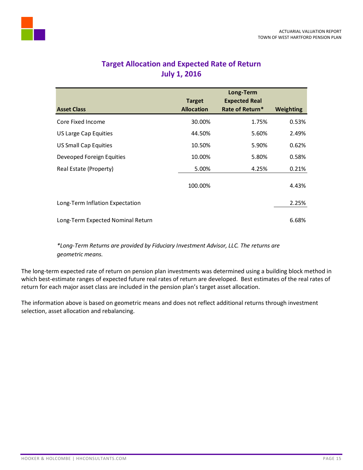<span id="page-16-0"></span>

## **Target Allocation and Expected Rate of Return July 1, 2016**

|                                   |                   | Long-Term            |                  |
|-----------------------------------|-------------------|----------------------|------------------|
|                                   | <b>Target</b>     | <b>Expected Real</b> |                  |
| <b>Asset Class</b>                | <b>Allocation</b> | Rate of Return*      | <b>Weighting</b> |
| Core Fixed Income                 | 30.00%            | 1.75%                | 0.53%            |
| US Large Cap Equities             | 44.50%            | 5.60%                | 2.49%            |
| <b>US Small Cap Equities</b>      | 10.50%            | 5.90%                | 0.62%            |
| Deveoped Foreign Equities         | 10.00%            | 5.80%                | 0.58%            |
| Real Estate (Property)            | 5.00%             | 4.25%                | 0.21%            |
|                                   | 100.00%           |                      | 4.43%            |
| Long-Term Inflation Expectation   |                   |                      | 2.25%            |
| Long-Term Expected Nominal Return |                   |                      | 6.68%            |

*\*Long-Term Returns are provided by Fiduciary Investment Advisor, LLC. The returns are geometric means.*

The long-term expected rate of return on pension plan investments was determined using a building block method in which best-estimate ranges of expected future real rates of return are developed. Best estimates of the real rates of return for each major asset class are included in the pension plan's target asset allocation.

The information above is based on geometric means and does not reflect additional returns through investment selection, asset allocation and rebalancing.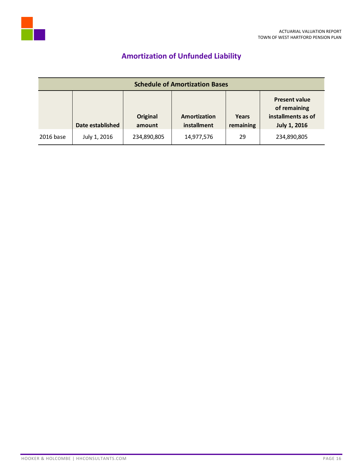

# **Amortization of Unfunded Liability**

<span id="page-17-0"></span>

| <b>Schedule of Amortization Bases</b> |                  |                    |                                    |                           |                                                                                   |
|---------------------------------------|------------------|--------------------|------------------------------------|---------------------------|-----------------------------------------------------------------------------------|
|                                       | Date established | Original<br>amount | <b>Amortization</b><br>installment | <b>Years</b><br>remaining | <b>Present value</b><br>of remaining<br>installments as of<br><b>July 1, 2016</b> |
| 2016 base                             | July 1, 2016     | 234,890,805        | 14,977,576                         | 29                        | 234,890,805                                                                       |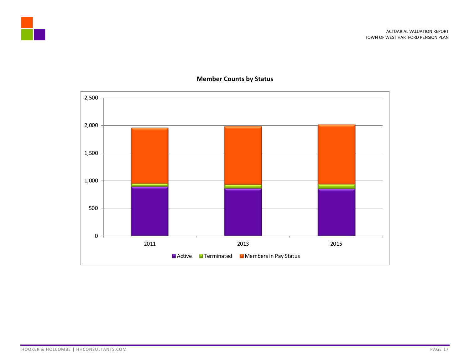





## **Member Counts by Status**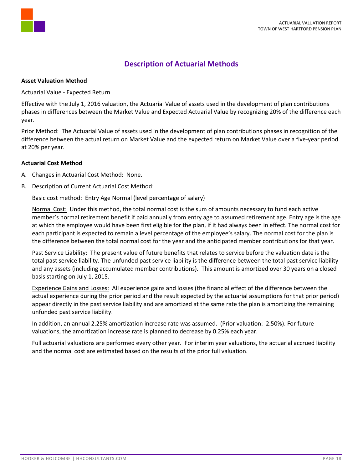

## **Description of Actuarial Methods**

### <span id="page-19-0"></span>**Asset Valuation Method**

Actuarial Value - Expected Return

Effective with the July 1, 2016 valuation, the Actuarial Value of assets used in the development of plan contributions phases in differences between the Market Value and Expected Actuarial Value by recognizing 20% of the difference each year.

Prior Method: The Actuarial Value of assets used in the development of plan contributions phases in recognition of the difference between the actual return on Market Value and the expected return on Market Value over a five-year period at 20% per year.

## **Actuarial Cost Method**

- A. Changes in Actuarial Cost Method: None.
- B. Description of Current Actuarial Cost Method:

Basic cost method: Entry Age Normal (level percentage of salary)

Normal Cost: Under this method, the total normal cost is the sum of amounts necessary to fund each active member's normal retirement benefit if paid annually from entry age to assumed retirement age. Entry age is the age at which the employee would have been first eligible for the plan, if it had always been in effect. The normal cost for each participant is expected to remain a level percentage of the employee's salary. The normal cost for the plan is the difference between the total normal cost for the year and the anticipated member contributions for that year.

Past Service Liability: The present value of future benefits that relates to service before the valuation date is the total past service liability. The unfunded past service liability is the difference between the total past service liability and any assets (including accumulated member contributions). This amount is amortized over 30 years on a closed basis starting on July 1, 2015.

Experience Gains and Losses: All experience gains and losses (the financial effect of the difference between the actual experience during the prior period and the result expected by the actuarial assumptions for that prior period) appear directly in the past service liability and are amortized at the same rate the plan is amortizing the remaining unfunded past service liability.

In addition, an annual 2.25% amortization increase rate was assumed. (Prior valuation: 2.50%). For future valuations, the amortization increase rate is planned to decrease by 0.25% each year.

Full actuarial valuations are performed every other year. For interim year valuations, the actuarial accrued liability and the normal cost are estimated based on the results of the prior full valuation.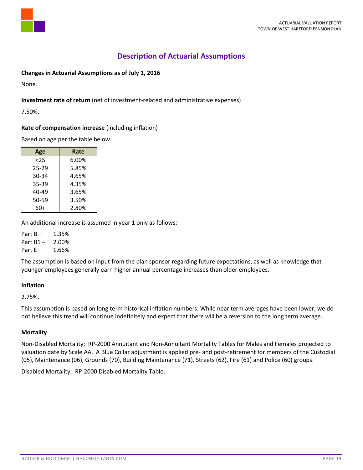

## **Description of Actuarial Assumptions**

## <span id="page-20-0"></span>**Changes in Actuarial Assumptions as of July 1, 2016**

None.

## **Investment rate of return** (net of investment-related and administrative expenses)

7.50%.

## **Rate of compensation increase** (including inflation)

Based on age per the table below.

| Age       | Rate  |
|-----------|-------|
| $25$      | 6.00% |
| 25-29     | 5.85% |
| 30-34     | 4.65% |
| 35-39     | 4.35% |
| 40-49     | 3.65% |
| $50 - 59$ | 3.50% |
| 60+       | 2.80% |

An additional increase is assumed in year 1 only as follows:

Part  $B - 1.35%$ 

Part B1 – 2.00%

Part  $E - 1.66%$ 

The assumption is based on input from the plan sponsor regarding future expectations, as well as knowledge that younger employees generally earn higher annual percentage increases than older employees.

## **Inflation**

2.75%.

This assumption is based on long term historical inflation numbers. While near term averages have been lower, we do not believe this trend will continue indefinitely and expect that there will be a reversion to the long term average.

## **Mortality**

Non-Disabled Mortality: RP-2000 Annuitant and Non-Annuitant Mortality Tables for Males and Females projected to valuation date by Scale AA. A Blue Collar adjustment is applied pre- and post-retirement for members of the Custodial (05), Maintenance (06), Grounds (70), Building Maintenance (71), Streets (62), Fire (61) and Police (60) groups.

Disabled Mortality: RP-2000 Disabled Mortality Table.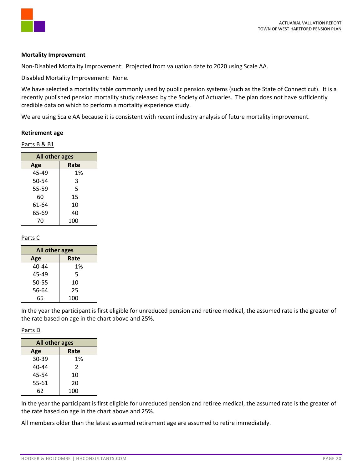

### **Mortality Improvement**

Non-Disabled Mortality Improvement: Projected from valuation date to 2020 using Scale AA.

Disabled Mortality Improvement: None.

We have selected a mortality table commonly used by public pension systems (such as the State of Connecticut). It is a recently published pension mortality study released by the Society of Actuaries. The plan does not have sufficiently credible data on which to perform a mortality experience study.

We are using Scale AA because it is consistent with recent industry analysis of future mortality improvement.

### **Retirement age**

Parts B & B1

| All other ages |      |  |  |
|----------------|------|--|--|
| Age            | Rate |  |  |
| 45-49          | 1%   |  |  |
| 50-54          | 3    |  |  |
| 55-59          | 5    |  |  |
| 60             | 15   |  |  |
| 61-64          | 10   |  |  |
| 65-69          | 40   |  |  |
| 70             | 100  |  |  |

## Parts C

| All other ages |      |  |
|----------------|------|--|
| Age            | Rate |  |
| 40-44          | 1%   |  |
| 45-49          | 5    |  |
| 50-55          | 10   |  |
| 56-64          | 25   |  |
| 65             | 100  |  |

In the year the participant is first eligible for unreduced pension and retiree medical, the assumed rate is the greater of the rate based on age in the chart above and 25%.

#### Parts D

| All other ages |      |  |  |
|----------------|------|--|--|
| Age            | Rate |  |  |
| 30-39          | 1%   |  |  |
| 40-44          | 2    |  |  |
| 45-54          | 10   |  |  |
| 55-61          | 20   |  |  |
| 62             | 100  |  |  |

In the year the participant is first eligible for unreduced pension and retiree medical, the assumed rate is the greater of the rate based on age in the chart above and 25%.

All members older than the latest assumed retirement age are assumed to retire immediately.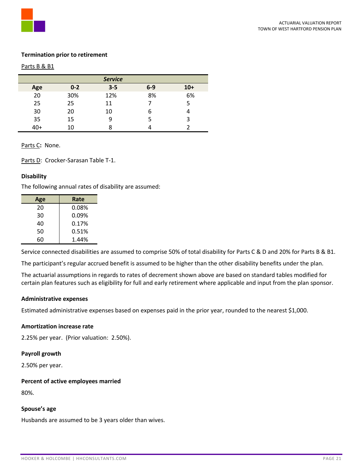

## **Termination prior to retirement**

### Parts B & B1

| <b>Service</b> |         |         |       |       |
|----------------|---------|---------|-------|-------|
| Age            | $0 - 2$ | $3 - 5$ | $6-9$ | $10+$ |
| 20             | 30%     | 12%     | 8%    | 6%    |
| 25             | 25      | 11      |       |       |
| 30             | 20      | 10      | 6     |       |
| 35             | 15      | 9       | 5     | 3     |
| 40+            | 10      |         |       |       |

Parts C**:** None.

Parts D: Crocker-Sarasan Table T-1.

## **Disability**

The following annual rates of disability are assumed:

| Age | Rate  |
|-----|-------|
| 20  | 0.08% |
| 30  | 0.09% |
| 40  | 0.17% |
| 50  | 0.51% |
| 60  | 1.44% |
|     |       |

Service connected disabilities are assumed to comprise 50% of total disability for Parts C & D and 20% for Parts B & B1.

The participant's regular accrued benefit is assumed to be higher than the other disability benefits under the plan.

The actuarial assumptions in regards to rates of decrement shown above are based on standard tables modified for certain plan features such as eligibility for full and early retirement where applicable and input from the plan sponsor.

## **Administrative expenses**

Estimated administrative expenses based on expenses paid in the prior year, rounded to the nearest \$1,000.

## **Amortization increase rate**

2.25% per year. (Prior valuation: 2.50%).

#### **Payroll growth**

2.50% per year.

#### **Percent of active employees married**

80%.

#### **Spouse's age**

Husbands are assumed to be 3 years older than wives.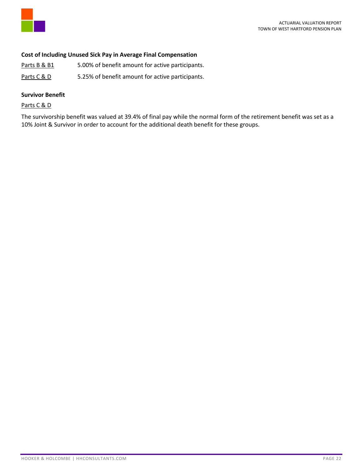

## **Cost of Including Unused Sick Pay in Average Final Compensation**

- Parts B & B1 5.00% of benefit amount for active participants.
- Parts C & D 5.25% of benefit amount for active participants.

## **Survivor Benefit**

Parts C & D

The survivorship benefit was valued at 39.4% of final pay while the normal form of the retirement benefit was set as a 10% Joint & Survivor in order to account for the additional death benefit for these groups.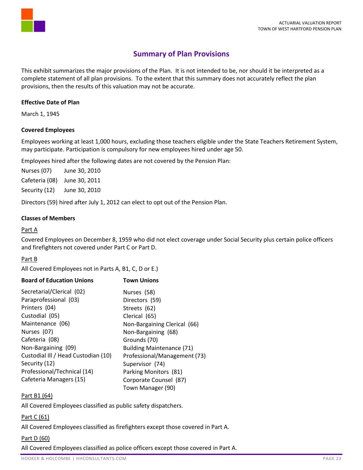

## **Summary of Plan Provisions**

<span id="page-24-0"></span>This exhibit summarizes the major provisions of the Plan. It is not intended to be, nor should it be interpreted as a complete statement of all plan provisions. To the extent that this summary does not accurately reflect the plan provisions, then the results of this valuation may not be accurate.

## **Effective Date of Plan**

March 1, 1945

## **Covered Employees**

Employees working at least 1,000 hours, excluding those teachers eligible under the State Teachers Retirement System, may participate. Participation is compulsory for new employees hired under age 50.

Employees hired after the following dates are not covered by the Pension Plan:

Nurses (07) June 30, 2010 Cafeteria (08) June 30, 2011 Security (12) June 30, 2010

Directors (59) hired after July 1, 2012 can elect to opt out of the Pension Plan.

## **Classes of Members**

## Part A

Covered Employees on December 8, 1959 who did not elect coverage under Social Security plus certain police officers and firefighters not covered under Part C or Part D.

## Part B

All Covered Employees not in Parts A, B1, C, D or E.)

| <b>Board of Education Unions</b>    | <b>Town Unions</b>               |
|-------------------------------------|----------------------------------|
| Secretarial/Clerical (02)           | Nurses (58)                      |
| Paraprofessional (03)               | Directors (59)                   |
| Printers (04)                       | Streets (62)                     |
| Custodial (05)                      | Clerical (65)                    |
| Maintenance (06)                    | Non-Bargaining Clerical (66)     |
| Nurses (07)                         | Non-Bargaining (68)              |
| Cafeteria (08)                      | Grounds (70)                     |
| Non-Bargaining (09)                 | <b>Building Maintenance (71)</b> |
| Custodial III / Head Custodian (10) | Professional/Management (73)     |
| Security (12)                       | Supervisor (74)                  |
| Professional/Technical (14)         | Parking Monitors (81)            |
| Cafeteria Managers (15)             | Corporate Counsel (87)           |
|                                     | Town Manager (90)                |

## Part B1 (64)

All Covered Employees classified as public safety dispatchers.

### Part C (61)

All Covered Employees classified as firefighters except those covered in Part A.

## Part D (60)

All Covered Employees classified as police officers except those covered in Part A.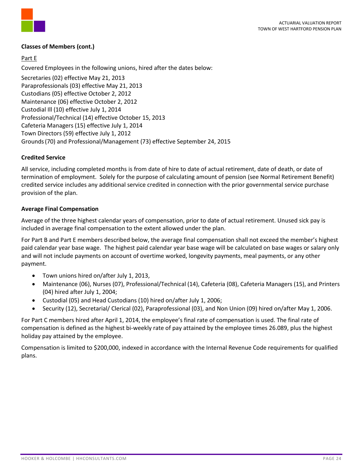

## **Classes of Members (cont.)**

## Part E

Covered Employees in the following unions, hired after the dates below:

Secretaries (02) effective May 21, 2013 Paraprofessionals (03) effective May 21, 2013 Custodians (05) effective October 2, 2012 Maintenance (06) effective October 2, 2012 Custodial Ill (10) effective July 1, 2014 Professional/Technical (14) effective October 15, 2013 Cafeteria Managers (15) effective July 1, 2014 Town Directors (59) effective July 1, 2012 Grounds(70) and Professional/Management (73) effective September 24, 2015

## **Credited Service**

All service, including completed months is from date of hire to date of actual retirement, date of death, or date of termination of employment. Solely for the purpose of calculating amount of pension (see Normal Retirement Benefit) credited service includes any additional service credited in connection with the prior governmental service purchase provision of the plan.

## **Average Final Compensation**

Average of the three highest calendar years of compensation, prior to date of actual retirement. Unused sick pay is included in average final compensation to the extent allowed under the plan.

For Part B and Part E members described below, the average final compensation shall not exceed the member's highest paid calendar year base wage. The highest paid calendar year base wage will be calculated on base wages or salary only and will not include payments on account of overtime worked, longevity payments, meal payments, or any other payment.

- Town unions hired on/after July 1, 2013,
- Maintenance (06), Nurses (07), Professional/Technical (14), Cafeteria (08), Cafeteria Managers (15), and Printers (04) hired after July 1, 2004;
- Custodial (05) and Head Custodians (10) hired on/after July 1, 2006;
- Security (12), Secretarial/ Clerical (02), Paraprofessional (03), and Non Union (09) hired on/after May 1, 2006.

For Part C members hired after April 1, 2014, the employee's final rate of compensation is used. The final rate of compensation is defined as the highest bi-weekly rate of pay attained by the employee times 26.089, plus the highest holiday pay attained by the employee.

Compensation is limited to \$200,000, indexed in accordance with the Internal Revenue Code requirements for qualified plans.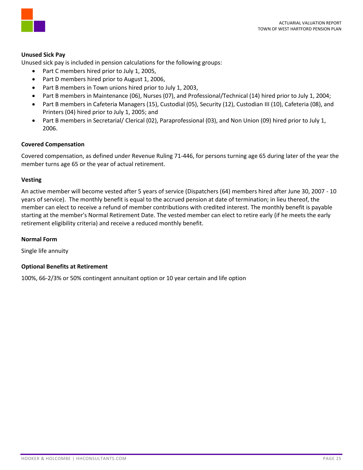



## **Unused Sick Pay**

Unused sick pay is included in pension calculations for the following groups:

- Part C members hired prior to July 1, 2005,
- Part D members hired prior to August 1, 2006,
- Part B members in Town unions hired prior to July 1, 2003,
- Part B members in Maintenance (06), Nurses (07), and Professional/Technical (14) hired prior to July 1, 2004;
- Part B members in Cafeteria Managers (15), Custodial (05), Security (12), Custodian III (10), Cafeteria (08), and Printers (04) hired prior to July 1, 2005; and
- Part B members in Secretarial/ Clerical (02), Paraprofessional (03), and Non Union (09) hired prior to July 1, 2006.

#### **Covered Compensation**

Covered compensation, as defined under Revenue Ruling 71-446, for persons turning age 65 during later of the year the member turns age 65 or the year of actual retirement.

### **Vesting**

An active member will become vested after 5 years of service (Dispatchers (64) members hired after June 30, 2007 - 10 years of service). The monthly benefit is equal to the accrued pension at date of termination; in lieu thereof, the member can elect to receive a refund of member contributions with credited interest. The monthly benefit is payable starting at the member's Normal Retirement Date. The vested member can elect to retire early (if he meets the early retirement eligibility criteria) and receive a reduced monthly benefit.

## **Normal Form**

Single life annuity

## **Optional Benefits at Retirement**

100%, 66-2/3% or 50% contingent annuitant option or 10 year certain and life option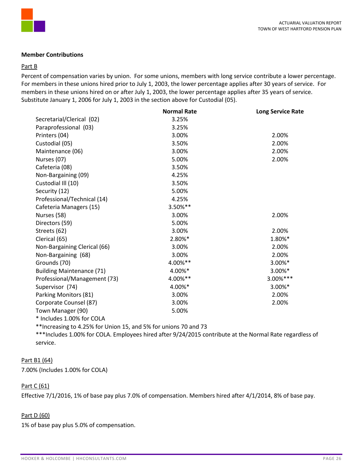

### **Member Contributions**

#### Part B

Percent of compensation varies by union. For some unions, members with long service contribute a lower percentage. For members in these unions hired prior to July 1, 2003, the lower percentage applies after 30 years of service. For members in these unions hired on or after July 1, 2003, the lower percentage applies after 35 years of service. Substitute January 1, 2006 for July 1, 2003 in the section above for Custodial (05).

|                                  | <b>Normal Rate</b> | <b>Long Service Rate</b> |
|----------------------------------|--------------------|--------------------------|
| Secretarial/Clerical (02)        | 3.25%              |                          |
| Paraprofessional (03)            | 3.25%              |                          |
| Printers (04)                    | 3.00%              | 2.00%                    |
| Custodial (05)                   | 3.50%              | 2.00%                    |
| Maintenance (06)                 | 3.00%              | 2.00%                    |
| Nurses (07)                      | 5.00%              | 2.00%                    |
| Cafeteria (08)                   | 3.50%              |                          |
| Non-Bargaining (09)              | 4.25%              |                          |
| Custodial III (10)               | 3.50%              |                          |
| Security (12)                    | 5.00%              |                          |
| Professional/Technical (14)      | 4.25%              |                          |
| Cafeteria Managers (15)          | 3.50%**            |                          |
| Nurses (58)                      | 3.00%              | 2.00%                    |
| Directors (59)                   | 5.00%              |                          |
| Streets (62)                     | 3.00%              | 2.00%                    |
| Clerical (65)                    | 2.80%*             | 1.80%*                   |
| Non-Bargaining Clerical (66)     | 3.00%              | 2.00%                    |
| Non-Bargaining (68)              | 3.00%              | 2.00%                    |
| Grounds (70)                     | 4.00%**            | 3.00%*                   |
| <b>Building Maintenance (71)</b> | 4.00%*             | 3.00%*                   |
| Professional/Management (73)     | 4.00%**            | 3.00%***                 |
| Supervisor (74)                  | 4.00%*             | 3.00%*                   |
| Parking Monitors (81)            | 3.00%              | 2.00%                    |
| Corporate Counsel (87)           | 3.00%              | 2.00%                    |
| Town Manager (90)                | 5.00%              |                          |
| * Includes 1.00% for COLA        |                    |                          |

\*\*Increasing to 4.25% for Union 15, and 5% for unions 70 and 73 \*\*\*Includes 1.00% for COLA. Employees hired after 9/24/2015 contribute at the Normal Rate regardless of service.

#### Part B1 (64)

7.00% (Includes 1.00% for COLA)

## Part C (61)

Effective 7/1/2016, 1% of base pay plus 7.0% of compensation. Members hired after 4/1/2014, 8% of base pay.

## Part D (60)

1% of base pay plus 5.0% of compensation.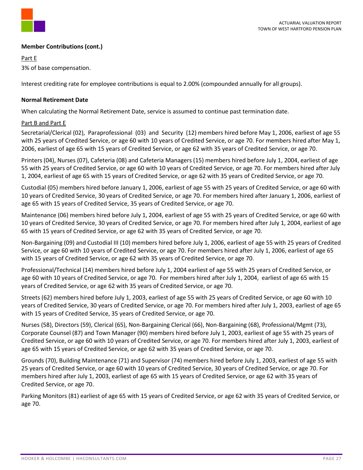

## **Member Contributions (cont.)**

Part E

3% of base compensation.

Interest crediting rate for employee contributions is equal to 2.00% (compounded annually for all groups).

### **Normal Retirement Date**

When calculating the Normal Retirement Date, service is assumed to continue past termination date.

### Part B and Part E

Secretarial/Clerical (02), Paraprofessional (03) and Security (12) members hired before May 1, 2006, earliest of age 55 with 25 years of Credited Service, or age 60 with 10 years of Credited Service, or age 70. For members hired after May 1, 2006, earliest of age 65 with 15 years of Credited Service, or age 62 with 35 years of Credited Service, or age 70.

Printers (04), Nurses (07), Cafeteria (08) and Cafeteria Managers (15) members hired before July 1, 2004, earliest of age 55 with 25 years of Credited Service, or age 60 with 10 years of Credited Service, or age 70. For members hired after July 1, 2004, earliest of age 65 with 15 years of Credited Service, or age 62 with 35 years of Credited Service, or age 70.

Custodial (05) members hired before January 1, 2006, earliest of age 55 with 25 years of Credited Service, or age 60 with 10 years of Credited Service, 30 years of Credited Service, or age 70. For members hired after January 1, 2006, earliest of age 65 with 15 years of Credited Service, 35 years of Credited Service, or age 70.

Maintenance (06) members hired before July 1, 2004, earliest of age 55 with 25 years of Credited Service, or age 60 with 10 years of Credited Service, 30 years of Credited Service, or age 70. For members hired after July 1, 2004, earliest of age 65 with 15 years of Credited Service, or age 62 with 35 years of Credited Service, or age 70.

Non-Bargaining (09) and Custodial III (10) members hired before July 1, 2006, earliest of age 55 with 25 years of Credited Service, or age 60 with 10 years of Credited Service, or age 70. For members hired after July 1, 2006, earliest of age 65 with 15 years of Credited Service, or age 62 with 35 years of Credited Service, or age 70.

Professional/Technical (14) members hired before July 1, 2004 earliest of age 55 with 25 years of Credited Service, or age 60 with 10 years of Credited Service, or age 70. For members hired after July 1, 2004, earliest of age 65 with 15 years of Credited Service, or age 62 with 35 years of Credited Service, or age 70.

Streets (62) members hired before July 1, 2003, earliest of age 55 with 25 years of Credited Service, or age 60 with 10 years of Credited Service, 30 years of Credited Service, or age 70. For members hired after July 1, 2003, earliest of age 65 with 15 years of Credited Service, 35 years of Credited Service, or age 70.

Nurses (58), Directors (59), Clerical (65), Non-Bargaining Clerical (66), Non-Bargaining (68), Professional/Mgmt (73), Corporate Counsel (87) and Town Manager (90) members hired before July 1, 2003, earliest of age 55 with 25 years of Credited Service, or age 60 with 10 years of Credited Service, or age 70. For members hired after July 1, 2003, earliest of age 65 with 15 years of Credited Service, or age 62 with 35 years of Credited Service, or age 70.

Grounds (70), Building Maintenance (71) and Supervisor (74) members hired before July 1, 2003, earliest of age 55 with 25 years of Credited Service, or age 60 with 10 years of Credited Service, 30 years of Credited Service, or age 70. For members hired after July 1, 2003, earliest of age 65 with 15 years of Credited Service, or age 62 with 35 years of Credited Service, or age 70.

Parking Monitors (81) earliest of age 65 with 15 years of Credited Service, or age 62 with 35 years of Credited Service, or age 70.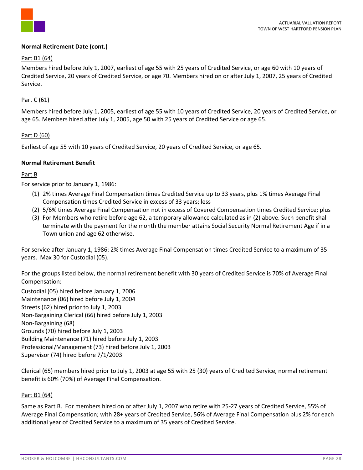

### **Normal Retirement Date (cont.)**

### Part B1 (64)

Members hired before July 1, 2007, earliest of age 55 with 25 years of Credited Service, or age 60 with 10 years of Credited Service, 20 years of Credited Service, or age 70. Members hired on or after July 1, 2007, 25 years of Credited Service.

### Part C (61)

Members hired before July 1, 2005, earliest of age 55 with 10 years of Credited Service, 20 years of Credited Service, or age 65. Members hired after July 1, 2005, age 50 with 25 years of Credited Service or age 65.

### Part D (60)

Earliest of age 55 with 10 years of Credited Service, 20 years of Credited Service, or age 65.

### **Normal Retirement Benefit**

## Part B

For service prior to January 1, 1986:

- (1) 2% times Average Final Compensation times Credited Service up to 33 years, plus 1% times Average Final Compensation times Credited Service in excess of 33 years; less
- (2) 5/6% times Average Final Compensation not in excess of Covered Compensation times Credited Service; plus
- (3) For Members who retire before age 62, a temporary allowance calculated as in (2) above. Such benefit shall terminate with the payment for the month the member attains Social Security Normal Retirement Age if in a Town union and age 62 otherwise.

For service after January 1, 1986: 2% times Average Final Compensation times Credited Service to a maximum of 35 years. Max 30 for Custodial (05).

For the groups listed below, the normal retirement benefit with 30 years of Credited Service is 70% of Average Final Compensation:

Custodial (05) hired before January 1, 2006 Maintenance (06) hired before July 1, 2004 Streets (62) hired prior to July 1, 2003 Non-Bargaining Clerical (66) hired before July 1, 2003 Non-Bargaining (68) Grounds (70) hired before July 1, 2003 Building Maintenance (71) hired before July 1, 2003 Professional/Management (73) hired before July 1, 2003 Supervisor (74) hired before 7/1/2003

Clerical (65) members hired prior to July 1, 2003 at age 55 with 25 (30) years of Credited Service, normal retirement benefit is 60% (70%) of Average Final Compensation.

#### Part B1 (64)

Same as Part B. For members hired on or after July 1, 2007 who retire with 25-27 years of Credited Service, 55% of Average Final Compensation; with 28+ years of Credited Service, 56% of Average Final Compensation plus 2% for each additional year of Credited Service to a maximum of 35 years of Credited Service.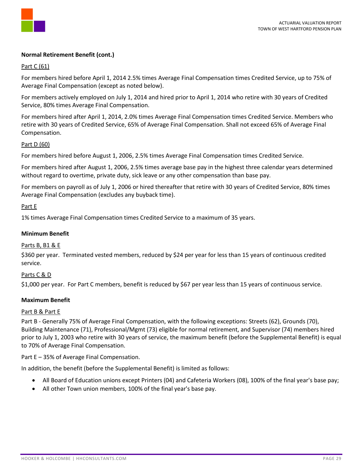

### **Normal Retirement Benefit (cont.)**

### Part C (61)

For members hired before April 1, 2014 2.5% times Average Final Compensation times Credited Service, up to 75% of Average Final Compensation (except as noted below).

For members actively employed on July 1, 2014 and hired prior to April 1, 2014 who retire with 30 years of Credited Service, 80% times Average Final Compensation.

For members hired after April 1, 2014, 2.0% times Average Final Compensation times Credited Service. Members who retire with 30 years of Credited Service, 65% of Average Final Compensation. Shall not exceed 65% of Average Final Compensation.

#### Part D (60)

For members hired before August 1, 2006, 2.5% times Average Final Compensation times Credited Service.

For members hired after August 1, 2006, 2.5% times average base pay in the highest three calendar years determined without regard to overtime, private duty, sick leave or any other compensation than base pay.

For members on payroll as of July 1, 2006 or hired thereafter that retire with 30 years of Credited Service, 80% times Average Final Compensation (excludes any buyback time).

#### Part E

1% times Average Final Compensation times Credited Service to a maximum of 35 years.

### **Minimum Benefit**

#### Parts B, B1 & E

\$360 per year. Terminated vested members, reduced by \$24 per year for less than 15 years of continuous credited service.

#### Parts C & D

\$1,000 per year. For Part C members, benefit is reduced by \$67 per year less than 15 years of continuous service.

## **Maximum Benefit**

#### Part B & Part E

Part B - Generally 75% of Average Final Compensation, with the following exceptions: Streets (62), Grounds (70), Building Maintenance (71), Professional/Mgmt (73) eligible for normal retirement, and Supervisor (74) members hired prior to July 1, 2003 who retire with 30 years of service, the maximum benefit (before the Supplemental Benefit) is equal to 70% of Average Final Compensation.

Part E – 35% of Average Final Compensation.

In addition, the benefit (before the Supplemental Benefit) is limited as follows:

- All Board of Education unions except Printers (04) and Cafeteria Workers (08), 100% of the final year's base pay;
- All other Town union members, 100% of the final year's base pay.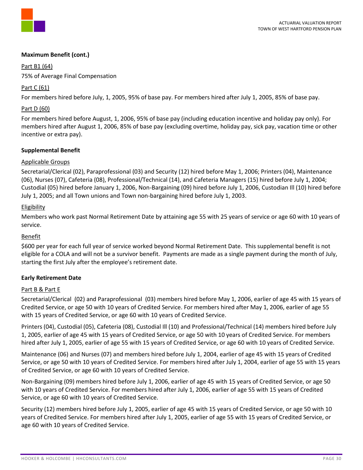

## **Maximum Benefit (cont.)**

Part B1 (64)

75% of Average Final Compensation

## Part C (61)

For members hired before July, 1, 2005, 95% of base pay. For members hired after July 1, 2005, 85% of base pay.

## Part D (60)

For members hired before August, 1, 2006, 95% of base pay (including education incentive and holiday pay only). For members hired after August 1, 2006, 85% of base pay (excluding overtime, holiday pay, sick pay, vacation time or other incentive or extra pay).

## **Supplemental Benefit**

## Applicable Groups

Secretarial/Clerical (02), Paraprofessional (03) and Security (12) hired before May 1, 2006; Printers (04), Maintenance (06), Nurses (07), Cafeteria (08), Professional/Technical (14), and Cafeteria Managers (15) hired before July 1, 2004; Custodial (05) hired before January 1, 2006, Non-Bargaining (09) hired before July 1, 2006, Custodian Ill (10) hired before July 1, 2005; and all Town unions and Town non-bargaining hired before July 1, 2003.

## Eligibility

Members who work past Normal Retirement Date by attaining age 55 with 25 years of service or age 60 with 10 years of service.

## Benefit

\$600 per year for each full year of service worked beyond Normal Retirement Date. This supplemental benefit is not eligible for a COLA and will not be a survivor benefit. Payments are made as a single payment during the month of July, starting the first July after the employee's retirement date.

## **Early Retirement Date**

## Part B & Part E

Secretarial/Clerical (02) and Paraprofessional (03) members hired before May 1, 2006, earlier of age 45 with 15 years of Credited Service, or age 50 with 10 years of Credited Service. For members hired after May 1, 2006, earlier of age 55 with 15 years of Credited Service, or age 60 with 10 years of Credited Service.

Printers (04), Custodial (05), Cafeteria (08), Custodial Ill (10) and Professional/Technical (14) members hired before July 1, 2005, earlier of age 45 with 15 years of Credited Service, or age 50 with 10 years of Credited Service. For members hired after July 1, 2005, earlier of age 55 with 15 years of Credited Service, or age 60 with 10 years of Credited Service.

Maintenance (06) and Nurses (07) and members hired before July 1, 2004, earlier of age 45 with 15 years of Credited Service, or age 50 with 10 years of Credited Service. For members hired after July 1, 2004, earlier of age 55 with 15 years of Credited Service, or age 60 with 10 years of Credited Service.

Non-Bargaining (09) members hired before July 1, 2006, earlier of age 45 with 15 years of Credited Service, or age 50 with 10 years of Credited Service. For members hired after July 1, 2006, earlier of age 55 with 15 years of Credited Service, or age 60 with 10 years of Credited Service.

Security (12) members hired before July 1, 2005, earlier of age 45 with 15 years of Credited Service, or age 50 with 10 years of Credited Service. For members hired after July 1, 2005, earlier of age 55 with 15 years of Credited Service, or age 60 with 10 years of Credited Service.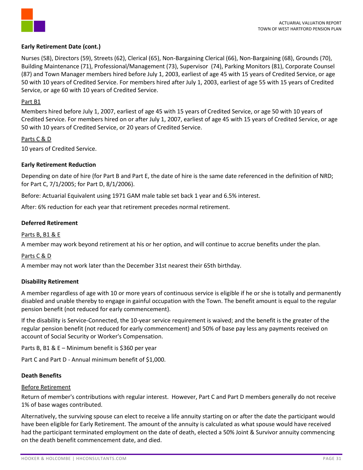

## **Early Retirement Date (cont.)**

Nurses (58), Directors (59), Streets (62), Clerical (65), Non-Bargaining Clerical (66), Non-Bargaining (68), Grounds (70), Building Maintenance (71), Professional/Management (73), Supervisor (74), Parking Monitors (81), Corporate Counsel (87) and Town Manager members hired before July 1, 2003, earliest of age 45 with 15 years of Credited Service, or age 50 with 10 years of Credited Service. For members hired after July 1, 2003, earliest of age 55 with 15 years of Credited Service, or age 60 with 10 years of Credited Service.

### Part B1

Members hired before July 1, 2007, earliest of age 45 with 15 years of Credited Service, or age 50 with 10 years of Credited Service. For members hired on or after July 1, 2007, earliest of age 45 with 15 years of Credited Service, or age 50 with 10 years of Credited Service, or 20 years of Credited Service.

### Parts C & D

10 years of Credited Service.

## **Early Retirement Reduction**

Depending on date of hire (for Part B and Part E, the date of hire is the same date referenced in the definition of NRD; for Part C, 7/1/2005; for Part D, 8/1/2006).

Before: Actuarial Equivalent using 1971 GAM male table set back 1 year and 6.5% interest.

After: 6% reduction for each year that retirement precedes normal retirement.

### **Deferred Retirement**

### Parts B, B1 & E

A member may work beyond retirement at his or her option, and will continue to accrue benefits under the plan.

#### Parts C & D

A member may not work later than the December 31st nearest their 65th birthday.

#### **Disability Retirement**

A member regardless of age with 10 or more years of continuous service is eligible if he or she is totally and permanently disabled and unable thereby to engage in gainful occupation with the Town. The benefit amount is equal to the regular pension benefit (not reduced for early commencement).

If the disability is Service-Connected, the 10-year service requirement is waived; and the benefit is the greater of the regular pension benefit (not reduced for early commencement) and 50% of base pay less any payments received on account of Social Security or Worker's Compensation.

Parts B, B1 & E – Minimum benefit is \$360 per year

Part C and Part D - Annual minimum benefit of \$1,000.

#### **Death Benefits**

#### Before Retirement

Return of member's contributions with regular interest. However, Part C and Part D members generally do not receive 1% of base wages contributed.

Alternatively, the surviving spouse can elect to receive a life annuity starting on or after the date the participant would have been eligible for Early Retirement. The amount of the annuity is calculated as what spouse would have received had the participant terminated employment on the date of death, elected a 50% Joint & Survivor annuity commencing on the death benefit commencement date, and died.